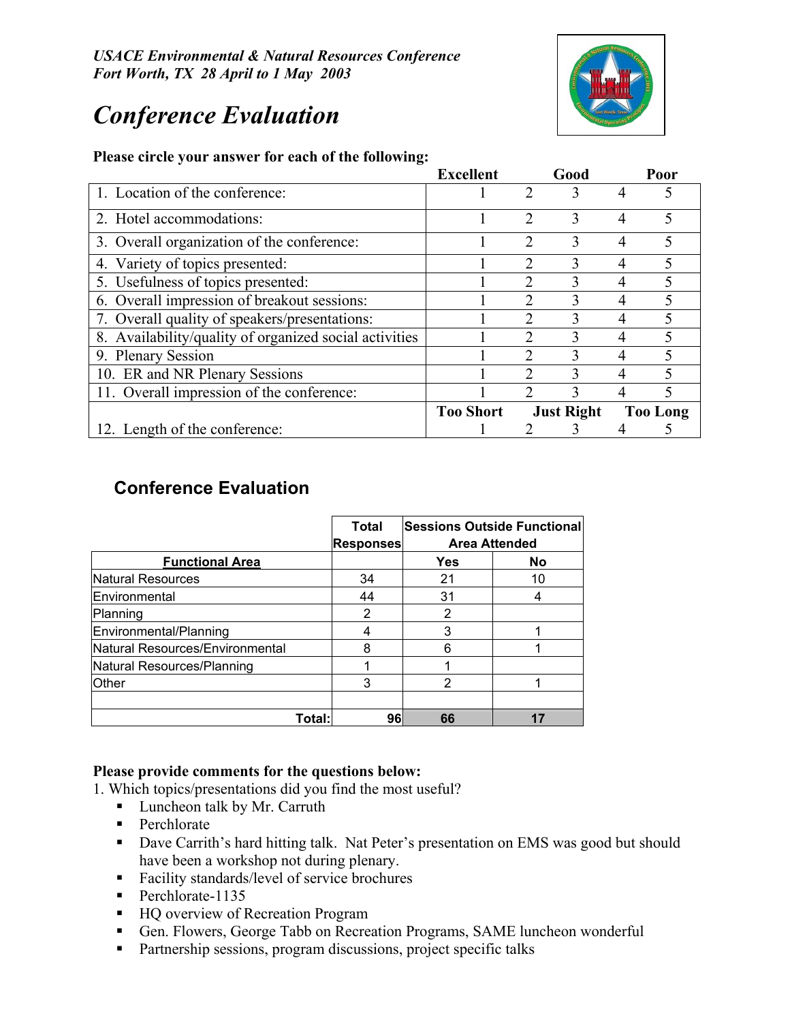*USACE Environmental & Natural Resources Conference Fort Worth, TX 28 April to 1 May 2003*

# *Conference Evaluation*



#### **Please circle your answer for each of the following:**

|                                                        | <b>Excellent</b> |                             | Good |                 | Poor |
|--------------------------------------------------------|------------------|-----------------------------|------|-----------------|------|
| 1. Location of the conference:                         |                  | 2                           | 3    | 4               |      |
| 2. Hotel accommodations:                               |                  | $\mathfrak{D}$              | 3    | 4               | 5    |
| 3. Overall organization of the conference:             |                  | 2                           | 3    | 4               | 5    |
| 4. Variety of topics presented:                        |                  | $\mathfrak{D}$              | 3    | 4               | 5    |
| 5. Usefulness of topics presented:                     |                  |                             | 3    | 4               |      |
| 6. Overall impression of breakout sessions:            |                  | $\mathcal{D}_{\mathcal{L}}$ | 3    |                 | 5    |
| 7. Overall quality of speakers/presentations:          |                  |                             | 3    | 4               |      |
| 8. Availability/quality of organized social activities |                  | $\mathcal{D}$               | 3    | 4               | 5    |
| 9. Plenary Session                                     |                  |                             |      | 4               |      |
| 10. ER and NR Plenary Sessions                         |                  | $\mathfrak{D}$              | 3    | 4               | 5    |
| 11. Overall impression of the conference:              |                  |                             |      |                 |      |
|                                                        | <b>Too Short</b> | <b>Just Right</b>           |      | <b>Too Long</b> |      |
| 12. Length of the conference:                          |                  |                             |      |                 |      |

# **Conference Evaluation**

|                                 | <b>Total</b><br><b>Responses</b> | <b>Sessions Outside Functional</b><br><b>Area Attended</b> |    |  |  |
|---------------------------------|----------------------------------|------------------------------------------------------------|----|--|--|
| <b>Functional Area</b>          |                                  | Yes                                                        | No |  |  |
| Natural Resources               | 34                               | 21                                                         | 10 |  |  |
| Environmental                   | 44                               | 31                                                         |    |  |  |
| Planning                        | 2                                | 2                                                          |    |  |  |
| Environmental/Planning          |                                  | 3                                                          |    |  |  |
| Natural Resources/Environmental | 8                                | 6                                                          |    |  |  |
| Natural Resources/Planning      |                                  |                                                            |    |  |  |
| <b>Other</b>                    | 3                                | 2                                                          |    |  |  |
|                                 |                                  |                                                            |    |  |  |
| Total:                          | 96                               | 66                                                         |    |  |  |

### **Please provide comments for the questions below:**

1. Which topics/presentations did you find the most useful?

- **Luncheon talk by Mr. Carruth**
- Perchlorate
- Dave Carrith's hard hitting talk. Nat Peter's presentation on EMS was good but should have been a workshop not during plenary.
- Facility standards/level of service brochures
- Perchlorate-1135
- HQ overview of Recreation Program
- Gen. Flowers, George Tabb on Recreation Programs, SAME luncheon wonderful
- **Partnership sessions, program discussions, project specific talks**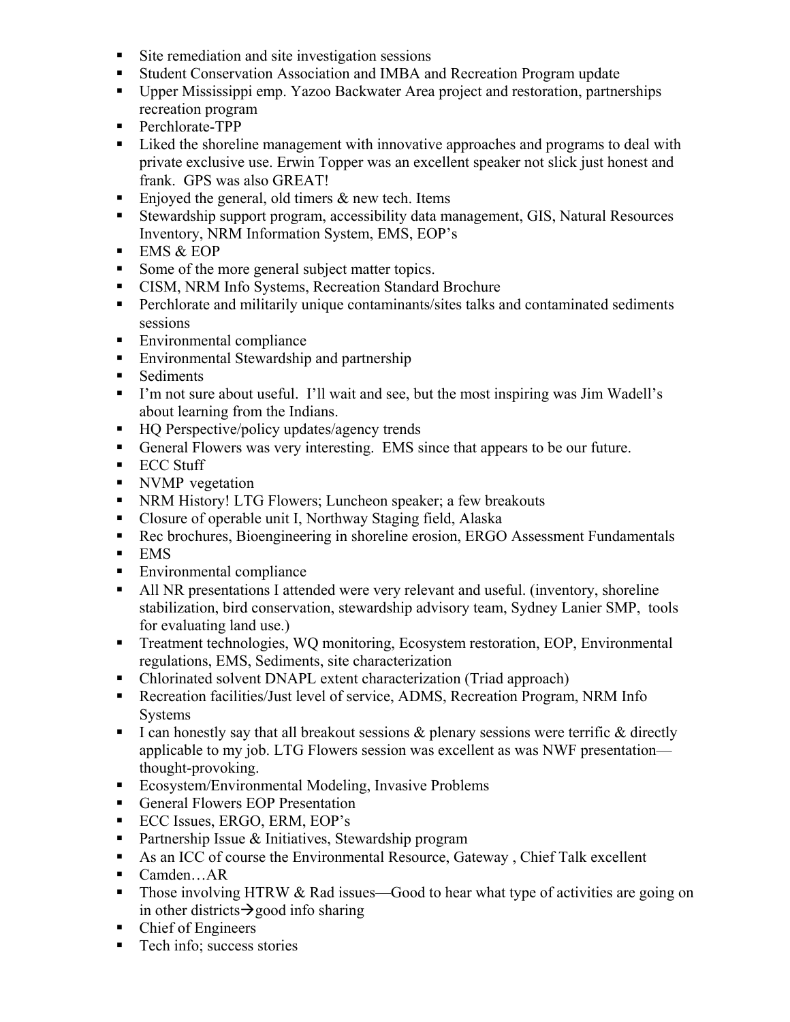- Site remediation and site investigation sessions
- Student Conservation Association and IMBA and Recreation Program update
- Upper Mississippi emp. Yazoo Backwater Area project and restoration, partnerships recreation program
- Perchlorate-TPP
- Liked the shoreline management with innovative approaches and programs to deal with private exclusive use. Erwin Topper was an excellent speaker not slick just honest and frank. GPS was also GREAT!
- Enjoyed the general, old timers  $\&$  new tech. Items
- Stewardship support program, accessibility data management, GIS, Natural Resources Inventory, NRM Information System, EMS, EOP's
- $-$  EMS & EOP
- Some of the more general subject matter topics.
- **CISM, NRM Info Systems, Recreation Standard Brochure**
- **Perchlorate and militarily unique contaminants/sites talks and contaminated sediments** sessions
- Environmental compliance
- **Environmental Stewardship and partnership**
- **Sediments**
- I'm not sure about useful. I'll wait and see, but the most inspiring was Jim Wadell's about learning from the Indians.
- HQ Perspective/policy updates/agency trends
- General Flowers was very interesting. EMS since that appears to be our future.
- **ECC Stuff**
- NVMP vegetation
- NRM History! LTG Flowers; Luncheon speaker; a few breakouts
- Closure of operable unit I, Northway Staging field, Alaska
- Rec brochures, Bioengineering in shoreline erosion, ERGO Assessment Fundamentals
- $-$  EMS
- **Environmental compliance**
- All NR presentations I attended were very relevant and useful. (inventory, shoreline stabilization, bird conservation, stewardship advisory team, Sydney Lanier SMP, tools for evaluating land use.)
- Treatment technologies, WQ monitoring, Ecosystem restoration, EOP, Environmental regulations, EMS, Sediments, site characterization
- Chlorinated solvent DNAPL extent characterization (Triad approach)
- Recreation facilities/Just level of service, ADMS, Recreation Program, NRM Info Systems
- I can honestly say that all breakout sessions  $\&$  plenary sessions were terrific  $\&$  directly applicable to my job. LTG Flowers session was excellent as was NWF presentation thought-provoking.
- **Ecosystem/Environmental Modeling, Invasive Problems**
- General Flowers EOP Presentation
- ECC Issues, ERGO, ERM, EOP's
- Partnership Issue  $&$  Initiatives, Stewardship program
- As an ICC of course the Environmental Resource, Gateway , Chief Talk excellent
- Camden…AR
- Those involving HTRW & Rad issues—Good to hear what type of activities are going on in other districts  $\rightarrow$  good info sharing
- Chief of Engineers
- **Tech info; success stories**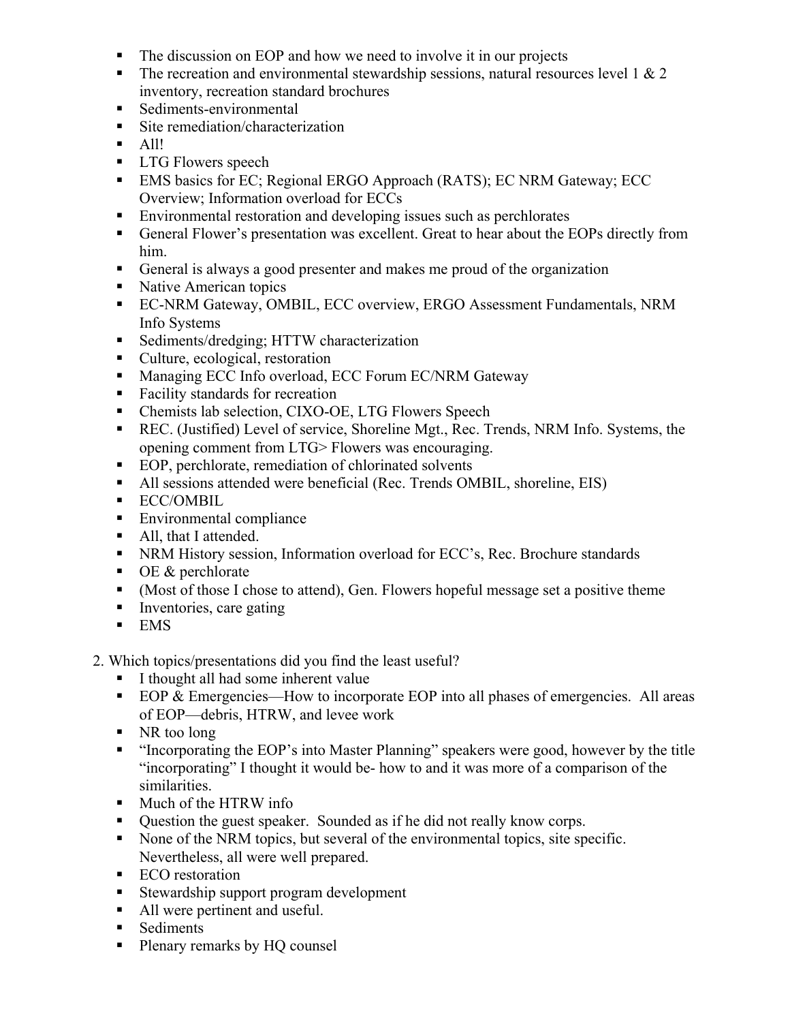- The discussion on EOP and how we need to involve it in our projects
- The recreation and environmental stewardship sessions, natural resources level 1  $& 2$ inventory, recreation standard brochures
- Sediments-environmental
- Site remediation/characterization
- $\blacksquare$  All!
- **LTG Flowers speech**
- **EMS** basics for EC; Regional ERGO Approach (RATS); EC NRM Gateway; ECC Overview; Information overload for ECCs
- Environmental restoration and developing issues such as perchlorates
- General Flower's presentation was excellent. Great to hear about the EOPs directly from him.
- General is always a good presenter and makes me proud of the organization
- Native American topics
- EC-NRM Gateway, OMBIL, ECC overview, ERGO Assessment Fundamentals, NRM Info Systems
- Sediments/dredging; HTTW characterization
- Culture, ecological, restoration
- **Managing ECC Info overload, ECC Forum EC/NRM Gateway**
- Facility standards for recreation
- Chemists lab selection, CIXO-OE, LTG Flowers Speech
- REC. (Justified) Level of service, Shoreline Mgt., Rec. Trends, NRM Info. Systems, the opening comment from LTG> Flowers was encouraging.
- EOP, perchlorate, remediation of chlorinated solvents
- All sessions attended were beneficial (Rec. Trends OMBIL, shoreline, EIS)
- **ECC/OMBIL**
- **Environmental compliance**
- All, that I attended.
- NRM History session, Information overload for ECC's, Rec. Brochure standards
- $\bullet$  OE & perchlorate
- (Most of those I chose to attend), Gen. Flowers hopeful message set a positive theme
- Inventories, care gating
- $-$  EMS
- 2. Which topics/presentations did you find the least useful?
	- I thought all had some inherent value
	- EOP  $&$  Emergencies—How to incorporate EOP into all phases of emergencies. All areas of EOP—debris, HTRW, and levee work
	- NR too long
	- "Incorporating the EOP's into Master Planning" speakers were good, however by the title "incorporating" I thought it would be- how to and it was more of a comparison of the similarities.
	- **Much of the HTRW info**
	- Question the guest speaker. Sounded as if he did not really know corps.
	- None of the NRM topics, but several of the environmental topics, site specific. Nevertheless, all were well prepared.
	- ECO restoration
	- Stewardship support program development
	- All were pertinent and useful.
	- **Sediments**
	- Plenary remarks by HQ counsel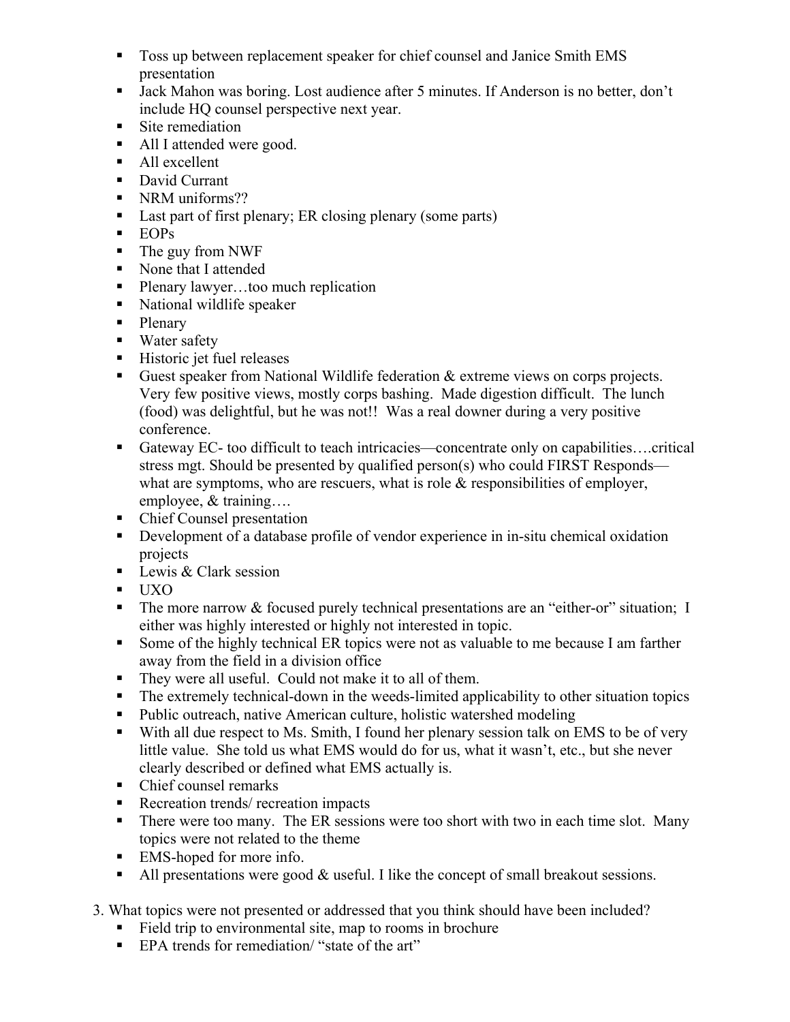- Toss up between replacement speaker for chief counsel and Janice Smith EMS presentation
- Jack Mahon was boring. Lost audience after 5 minutes. If Anderson is no better, don't include HQ counsel perspective next year.
- Site remediation
- All I attended were good.
- All excellent
- David Currant
- NRM uniforms??
- Last part of first plenary; ER closing plenary (some parts)
- **EOPs**
- The guy from NWF
- None that I attended
- Plenary lawyer…too much replication
- National wildlife speaker
- Plenary
- **Water safety**
- Historic jet fuel releases
- Guest speaker from National Wildlife federation  $\&$  extreme views on corps projects. Very few positive views, mostly corps bashing. Made digestion difficult. The lunch (food) was delightful, but he was not!! Was a real downer during a very positive conference.
- Gateway EC- too difficult to teach intricacies—concentrate only on capabilities....critical stress mgt. Should be presented by qualified person(s) who could FIRST Responds what are symptoms, who are rescuers, what is role  $&$  responsibilities of employer, employee, & training….
- Chief Counsel presentation
- Development of a database profile of vendor experience in in-situ chemical oxidation projects
- Lewis & Clark session
- UXO
- The more narrow  $&$  focused purely technical presentations are an "either-or" situation; I either was highly interested or highly not interested in topic.
- Some of the highly technical ER topics were not as valuable to me because I am farther away from the field in a division office
- They were all useful. Could not make it to all of them.
- The extremely technical-down in the weeds-limited applicability to other situation topics
- Public outreach, native American culture, holistic watershed modeling
- With all due respect to Ms. Smith, I found her plenary session talk on EMS to be of very little value. She told us what EMS would do for us, what it wasn't, etc., but she never clearly described or defined what EMS actually is.
- Chief counsel remarks
- Recreation trends/ recreation impacts
- There were too many. The ER sessions were too short with two in each time slot. Many topics were not related to the theme
- EMS-hoped for more info.
- All presentations were good  $\&$  useful. I like the concept of small breakout sessions.
- 3. What topics were not presented or addressed that you think should have been included?
	- Field trip to environmental site, map to rooms in brochure
	- EPA trends for remediation/ "state of the art"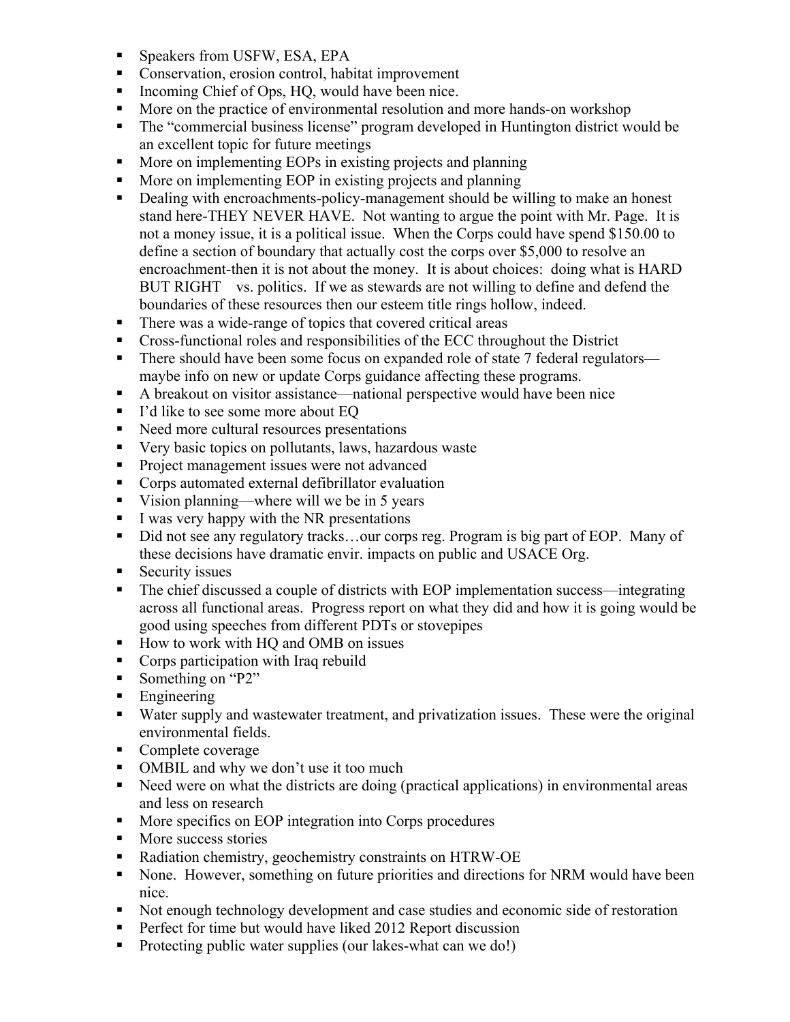- **Speakers from USFW, ESA, EPA**
- Conservation, erosion control, habitat improvement
- Incoming Chief of Ops,  $HQ$ , would have been nice.
- More on the practice of environmental resolution and more hands-on workshop
- The "commercial business license" program developed in Huntington district would be an excellent topic for future meetings
- **More on implementing EOPs in existing projects and planning**
- **More on implementing EOP in existing projects and planning**
- Dealing with encroachments-policy-management should be willing to make an honest stand here-THEY NEVER HAVE. Not wanting to argue the point with Mr. Page. It is not a money issue, it is a political issue. When the Corps could have spend \$150.00 to define a section of boundary that actually cost the corps over \$5,000 to resolve an encroachment-then it is not about the money. It is about choices: doing what is HARD BUT RIGHT vs. politics. If we as stewards are not willing to define and defend the boundaries of these resources then our esteem title rings hollow, indeed.
- There was a wide-range of topics that covered critical areas
- Cross-functional roles and responsibilities of the ECC throughout the District
- There should have been some focus on expanded role of state 7 federal regulators maybe info on new or update Corps guidance affecting these programs.
- A breakout on visitor assistance—national perspective would have been nice
- I'd like to see some more about EQ
- Need more cultural resources presentations
- Very basic topics on pollutants, laws, hazardous waste
- Project management issues were not advanced
- **Corps automated external defibrillator evaluation**
- Vision planning—where will we be in 5 years
- $I$  was very happy with the NR presentations
- Did not see any regulatory tracks...our corps reg. Program is big part of EOP. Many of these decisions have dramatic envir. impacts on public and USACE Org.
- $\blacksquare$  Security issues
- The chief discussed a couple of districts with EOP implementation success—integrating across all functional areas. Progress report on what they did and how it is going would be good using speeches from different PDTs or stovepipes
- How to work with HQ and OMB on issues
- Corps participation with Iraq rebuild
- Something on "P2"
- **Engineering**
- Water supply and wastewater treatment, and privatization issues. These were the original environmental fields.
- Complete coverage
- OMBIL and why we don't use it too much
- Need were on what the districts are doing (practical applications) in environmental areas and less on research
- **More specifics on EOP integration into Corps procedures**
- More success stories
- Radiation chemistry, geochemistry constraints on HTRW-OE
- None. However, something on future priorities and directions for NRM would have been nice.
- Not enough technology development and case studies and economic side of restoration
- **Perfect for time but would have liked 2012 Report discussion**
- Protecting public water supplies (our lakes-what can we do!)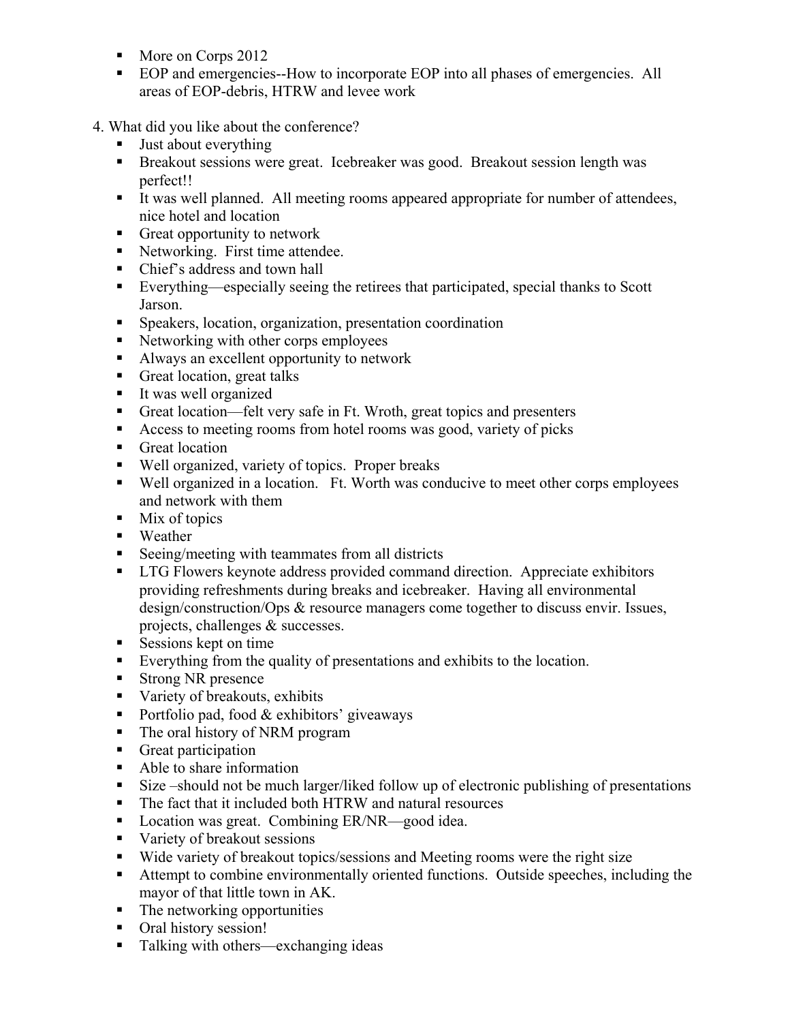- More on Corps 2012
- EOP and emergencies--How to incorporate EOP into all phases of emergencies. All areas of EOP-debris, HTRW and levee work
- 4. What did you like about the conference?
	- **Just about everything**
	- Breakout sessions were great. Icebreaker was good. Breakout session length was perfect!!
	- It was well planned. All meeting rooms appeared appropriate for number of attendees, nice hotel and location
	- Great opportunity to network
	- Networking. First time attendee.
	- Chief's address and town hall
	- Everything—especially seeing the retirees that participated, special thanks to Scott Jarson.
	- Speakers, location, organization, presentation coordination
	- Networking with other corps employees
	- Always an excellent opportunity to network
	- Great location, great talks
	- It was well organized
	- Great location—felt very safe in Ft. Wroth, great topics and presenters
	- Access to meeting rooms from hotel rooms was good, variety of picks
	- Great location
	- Well organized, variety of topics. Proper breaks
	- Well organized in a location. Ft. Worth was conducive to meet other corps employees and network with them
	- $\blacksquare$  Mix of topics
	- **Weather**
	- Seeing/meeting with teammates from all districts
	- LTG Flowers keynote address provided command direction. Appreciate exhibitors providing refreshments during breaks and icebreaker. Having all environmental design/construction/Ops & resource managers come together to discuss envir. Issues, projects, challenges & successes.
	- Sessions kept on time
	- Everything from the quality of presentations and exhibits to the location.
	- Strong NR presence
	- Variety of breakouts, exhibits
	- Portfolio pad, food  $&$  exhibitors' giveaways
	- The oral history of NRM program
	- Great participation
	- Able to share information
	- Size –should not be much larger/liked follow up of electronic publishing of presentations
	- The fact that it included both HTRW and natural resources
	- Location was great. Combining ER/NR—good idea.
	- variety of breakout sessions
	- Wide variety of breakout topics/sessions and Meeting rooms were the right size
	- Attempt to combine environmentally oriented functions. Outside speeches, including the mayor of that little town in AK.
	- The networking opportunities
	- Oral history session!
	- Talking with others—exchanging ideas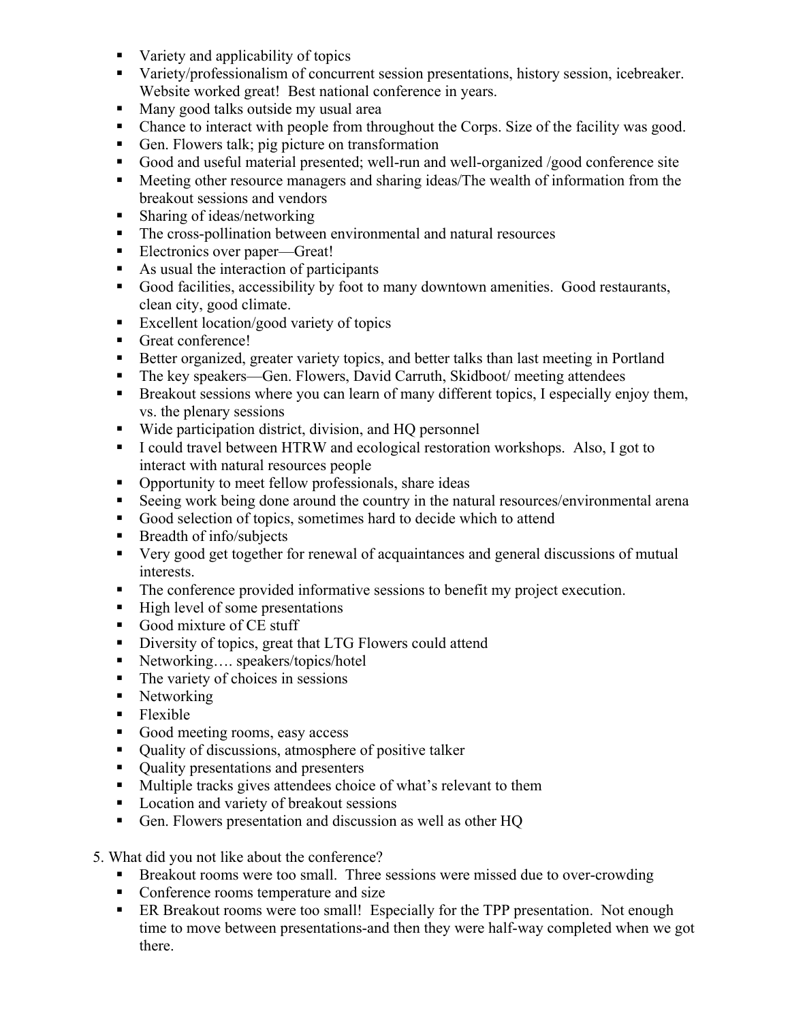- Variety and applicability of topics
- Variety/professionalism of concurrent session presentations, history session, icebreaker. Website worked great! Best national conference in years.
- Many good talks outside my usual area
- Chance to interact with people from throughout the Corps. Size of the facility was good.
- Gen. Flowers talk; pig picture on transformation
- Good and useful material presented; well-run and well-organized /good conference site
- Meeting other resource managers and sharing ideas/The wealth of information from the breakout sessions and vendors
- **Sharing of ideas/networking**
- The cross-pollination between environmental and natural resources
- Electronics over paper—Great!
- As usual the interaction of participants
- Good facilities, accessibility by foot to many downtown amenities. Good restaurants, clean city, good climate.
- Excellent location/good variety of topics
- Great conference!
- Better organized, greater variety topics, and better talks than last meeting in Portland
- The key speakers—Gen. Flowers, David Carruth, Skidboot/ meeting attendees
- Breakout sessions where you can learn of many different topics, I especially enjoy them, vs. the plenary sessions
- Wide participation district, division, and HQ personnel
- I could travel between HTRW and ecological restoration workshops. Also, I got to interact with natural resources people
- Opportunity to meet fellow professionals, share ideas
- Seeing work being done around the country in the natural resources/environmental arena
- Good selection of topics, sometimes hard to decide which to attend
- Breadth of info/subjects
- Very good get together for renewal of acquaintances and general discussions of mutual interests.
- The conference provided informative sessions to benefit my project execution.
- $\blacksquare$  High level of some presentations
- Good mixture of CE stuff
- Diversity of topics, great that LTG Flowers could attend
- Networking…. speakers/topics/hotel
- $\blacksquare$  The variety of choices in sessions
- Networking
- Flexible
- Good meeting rooms, easy access
- Quality of discussions, atmosphere of positive talker
- Ouality presentations and presenters
- **Multiple tracks gives attendees choice of what's relevant to them**
- Location and variety of breakout sessions
- Gen. Flowers presentation and discussion as well as other HQ
- 5. What did you not like about the conference?
	- **Breakout rooms were too small. Three sessions were missed due to over-crowding**
	- Conference rooms temperature and size
	- ER Breakout rooms were too small! Especially for the TPP presentation. Not enough time to move between presentations-and then they were half-way completed when we got there.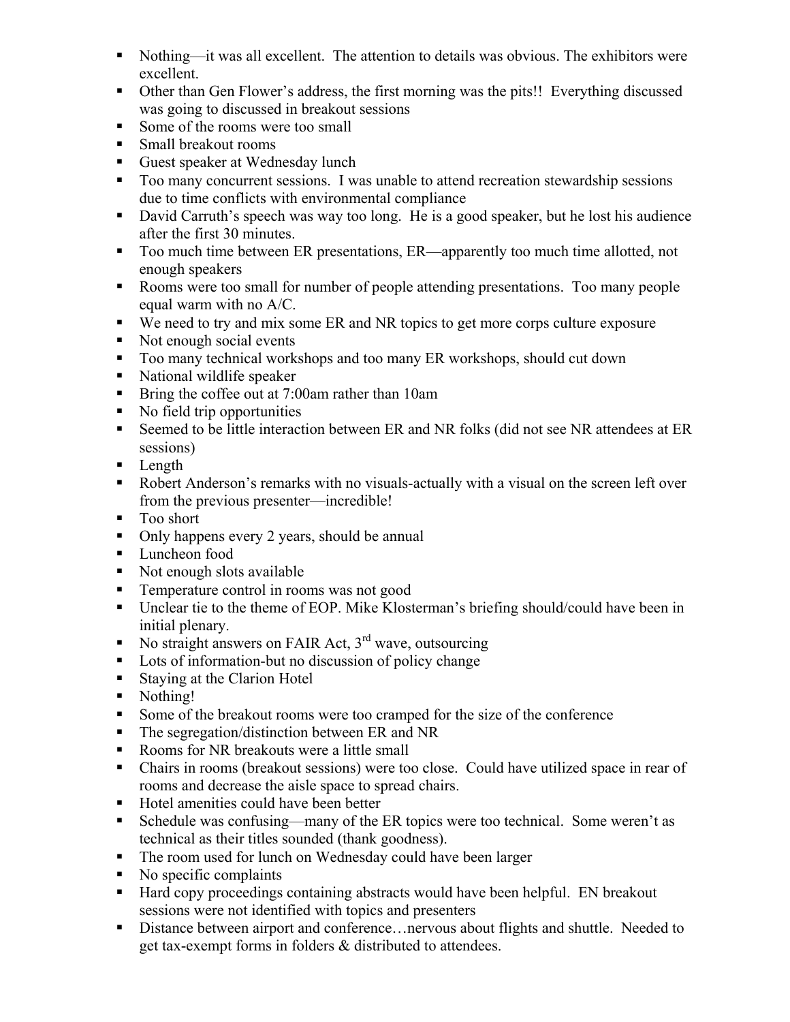- Nothing—it was all excellent. The attention to details was obvious. The exhibitors were excellent.
- Other than Gen Flower's address, the first morning was the pits!! Everything discussed was going to discussed in breakout sessions
- Some of the rooms were too small
- Small breakout rooms
- Guest speaker at Wednesday lunch
- Too many concurrent sessions. I was unable to attend recreation stewardship sessions due to time conflicts with environmental compliance
- David Carruth's speech was way too long. He is a good speaker, but he lost his audience after the first 30 minutes.
- Too much time between ER presentations, ER—apparently too much time allotted, not enough speakers
- Rooms were too small for number of people attending presentations. Too many people equal warm with no A/C.
- We need to try and mix some ER and NR topics to get more corps culture exposure
- Not enough social events
- Too many technical workshops and too many ER workshops, should cut down
- National wildlife speaker
- Bring the coffee out at 7:00am rather than 10am
- No field trip opportunities
- Seemed to be little interaction between ER and NR folks (did not see NR attendees at ER sessions)
- **Length**
- Robert Anderson's remarks with no visuals-actually with a visual on the screen left over from the previous presenter—incredible!
- Too short
- Only happens every 2 years, should be annual
- **Luncheon** food
- Not enough slots available
- Temperature control in rooms was not good
- Unclear tie to the theme of EOP. Mike Klosterman's briefing should/could have been in initial plenary.
- No straight answers on FAIR Act,  $3^{rd}$  wave, outsourcing
- **Lots of information-but no discussion of policy change**
- Staying at the Clarion Hotel
- Nothing!
- Some of the breakout rooms were too cramped for the size of the conference
- The segregation/distinction between ER and NR
- Rooms for NR breakouts were a little small
- Chairs in rooms (breakout sessions) were too close. Could have utilized space in rear of rooms and decrease the aisle space to spread chairs.
- Hotel amenities could have been better
- Schedule was confusing—many of the ER topics were too technical. Some weren't as technical as their titles sounded (thank goodness).
- The room used for lunch on Wednesday could have been larger
- $\blacksquare$  No specific complaints
- Hard copy proceedings containing abstracts would have been helpful. EN breakout sessions were not identified with topics and presenters
- Distance between airport and conference…nervous about flights and shuttle. Needed to get tax-exempt forms in folders & distributed to attendees.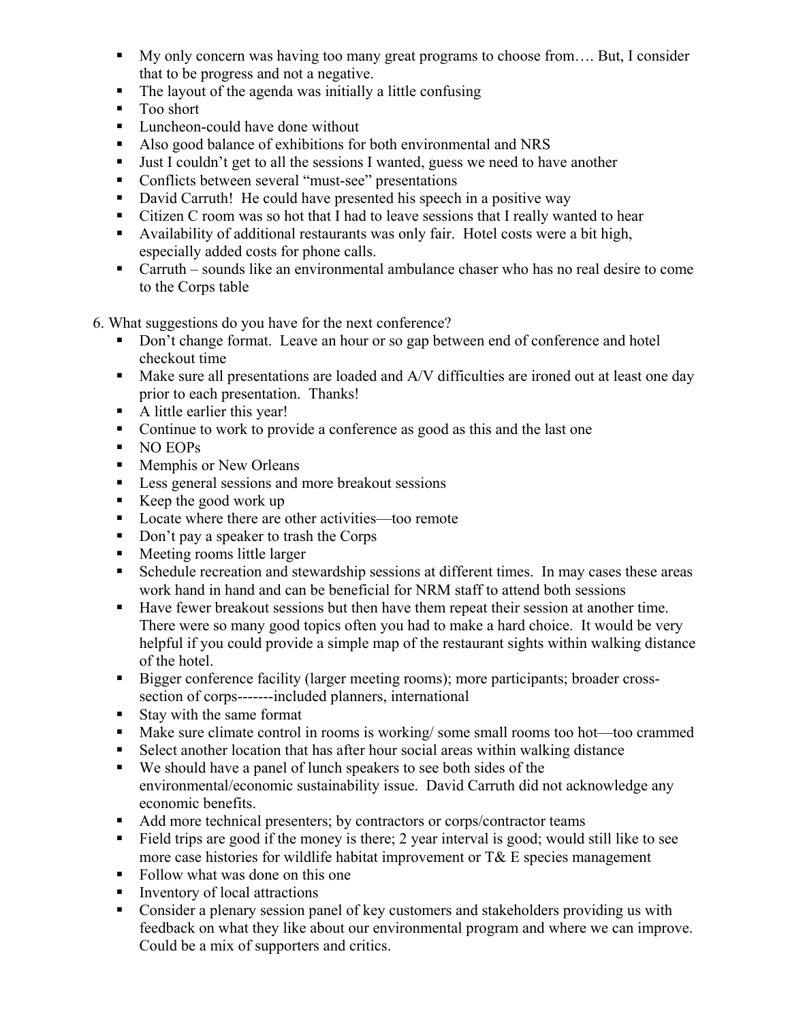- My only concern was having too many great programs to choose from.... But, I consider that to be progress and not a negative.
- The layout of the agenda was initially a little confusing
- Too short
- Luncheon-could have done without
- Also good balance of exhibitions for both environmental and NRS
- I Just I couldn't get to all the sessions I wanted, guess we need to have another
- Conflicts between several "must-see" presentations
- David Carruth! He could have presented his speech in a positive way
- Citizen C room was so hot that I had to leave sessions that I really wanted to hear
- Availability of additional restaurants was only fair. Hotel costs were a bit high, especially added costs for phone calls.
- Carruth sounds like an environmental ambulance chaser who has no real desire to come to the Corps table
- 6. What suggestions do you have for the next conference?
	- Don't change format. Leave an hour or so gap between end of conference and hotel checkout time
	- Make sure all presentations are loaded and A/V difficulties are ironed out at least one day prior to each presentation. Thanks!
	- A little earlier this year!
	- Continue to work to provide a conference as good as this and the last one
	- NO EOPs
	- **Memphis or New Orleans**
	- Less general sessions and more breakout sessions
	- Keep the good work up
	- Locate where there are other activities—too remote
	- Don't pay a speaker to trash the Corps
	- Meeting rooms little larger
	- Schedule recreation and stewardship sessions at different times. In may cases these areas work hand in hand and can be beneficial for NRM staff to attend both sessions
	- Have fewer breakout sessions but then have them repeat their session at another time. There were so many good topics often you had to make a hard choice. It would be very helpful if you could provide a simple map of the restaurant sights within walking distance of the hotel.
	- Bigger conference facility (larger meeting rooms); more participants; broader crosssection of corps-------included planners, international
	- Stay with the same format
	- Make sure climate control in rooms is working/some small rooms too hot—too crammed
	- Select another location that has after hour social areas within walking distance
	- We should have a panel of lunch speakers to see both sides of the environmental/economic sustainability issue. David Carruth did not acknowledge any economic benefits.
	- Add more technical presenters; by contractors or corps/contractor teams
	- Field trips are good if the money is there; 2 year interval is good; would still like to see more case histories for wildlife habitat improvement or T& E species management
	- Follow what was done on this one
	- Inventory of local attractions
	- Consider a plenary session panel of key customers and stakeholders providing us with feedback on what they like about our environmental program and where we can improve. Could be a mix of supporters and critics.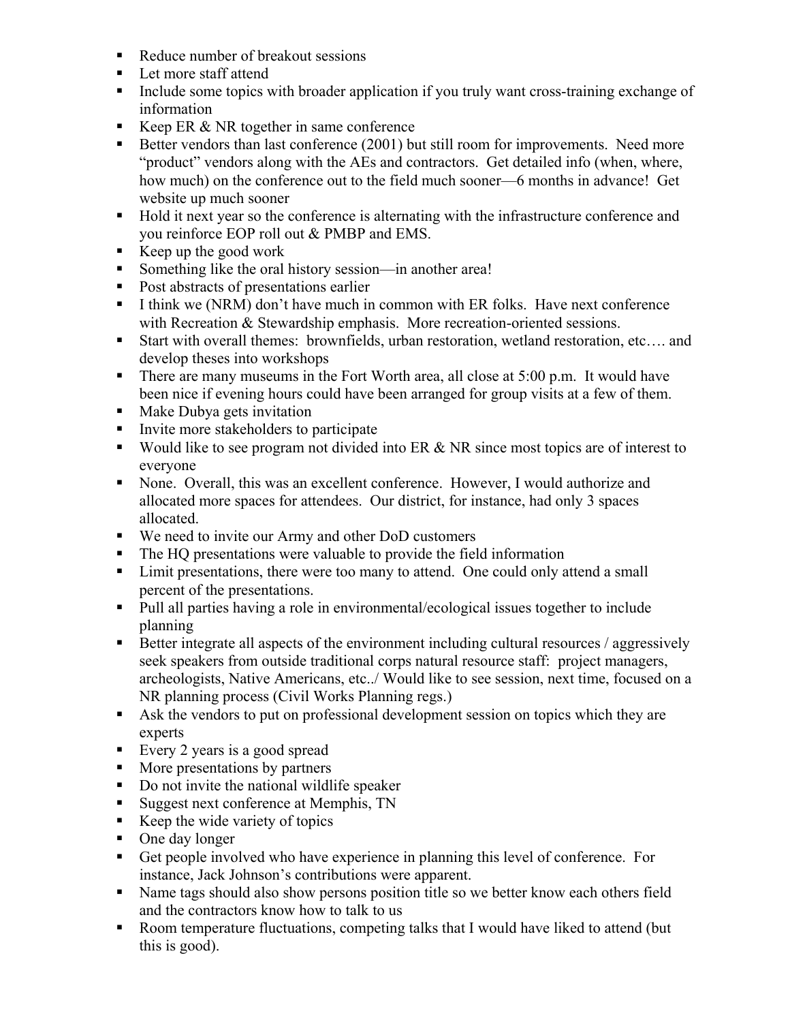- Reduce number of breakout sessions
- Let more staff attend
- Include some topics with broader application if you truly want cross-training exchange of information
- Keep ER  $&$  NR together in same conference
- Better vendors than last conference (2001) but still room for improvements. Need more "product" vendors along with the AEs and contractors. Get detailed info (when, where, how much) on the conference out to the field much sooner—6 months in advance! Get website up much sooner
- Hold it next year so the conference is alternating with the infrastructure conference and you reinforce EOP roll out & PMBP and EMS.
- Exerched work Exercise work
- Something like the oral history session—in another area!
- Post abstracts of presentations earlier
- I think we (NRM) don't have much in common with ER folks. Have next conference with Recreation & Stewardship emphasis. More recreation-oriented sessions.
- Start with overall themes: brownfields, urban restoration, wetland restoration, etc…. and develop theses into workshops
- There are many museums in the Fort Worth area, all close at  $5:00$  p.m. It would have been nice if evening hours could have been arranged for group visits at a few of them.
- Make Dubya gets invitation
- Invite more stakeholders to participate
- Would like to see program not divided into ER  $& NR$  since most topics are of interest to everyone
- None. Overall, this was an excellent conference. However, I would authorize and allocated more spaces for attendees. Our district, for instance, had only 3 spaces allocated.
- We need to invite our Army and other DoD customers
- The HQ presentations were valuable to provide the field information
- If Limit presentations, there were too many to attend. One could only attend a small percent of the presentations.
- Pull all parties having a role in environmental/ecological issues together to include planning
- Better integrate all aspects of the environment including cultural resources / aggressively seek speakers from outside traditional corps natural resource staff: project managers, archeologists, Native Americans, etc../ Would like to see session, next time, focused on a NR planning process (Civil Works Planning regs.)
- Ask the vendors to put on professional development session on topics which they are experts
- Every 2 years is a good spread
- More presentations by partners
- Do not invite the national wildlife speaker
- Suggest next conference at Memphis, TN
- Keep the wide variety of topics
- One day longer
- Get people involved who have experience in planning this level of conference. For instance, Jack Johnson's contributions were apparent.
- Name tags should also show persons position title so we better know each others field and the contractors know how to talk to us
- Room temperature fluctuations, competing talks that I would have liked to attend (but this is good).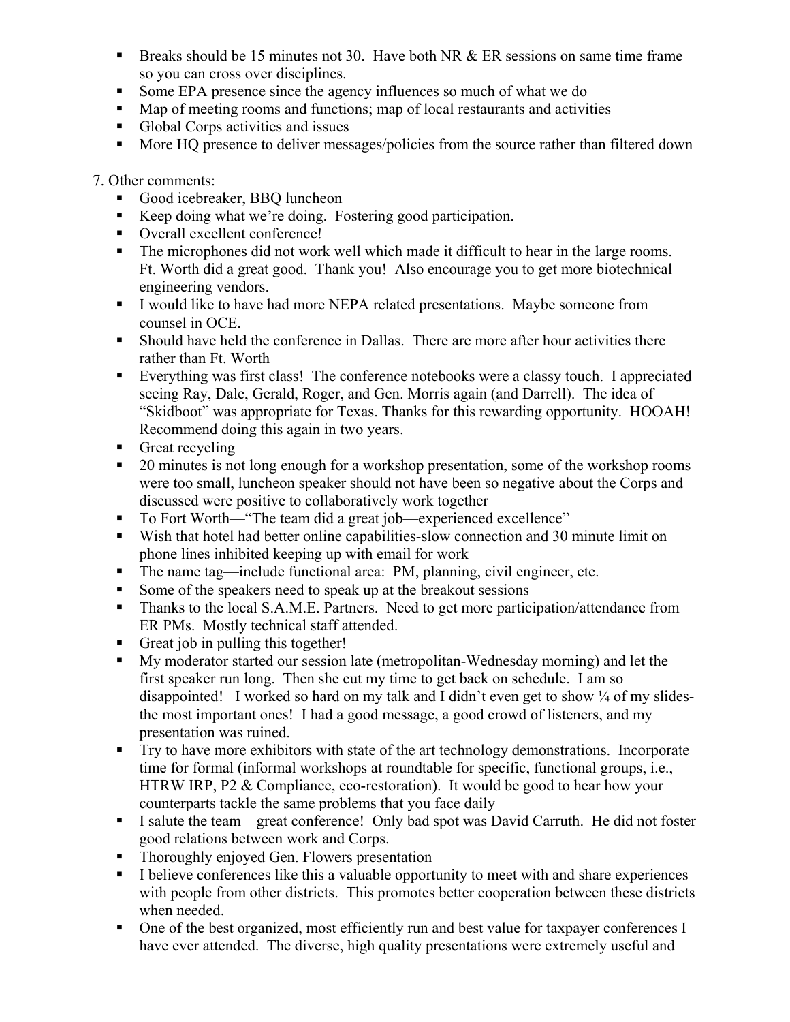- **Breaks should be 15 minutes not 30. Have both NR & ER sessions on same time frame** so you can cross over disciplines.
- Some EPA presence since the agency influences so much of what we do
- Map of meeting rooms and functions; map of local restaurants and activities
- Global Corps activities and issues
- More HQ presence to deliver messages/policies from the source rather than filtered down

7. Other comments:

- Good icebreaker, BBQ luncheon
- Keep doing what we're doing. Fostering good participation.
- Overall excellent conference!
- The microphones did not work well which made it difficult to hear in the large rooms. Ft. Worth did a great good. Thank you! Also encourage you to get more biotechnical engineering vendors.
- I would like to have had more NEPA related presentations. Maybe someone from counsel in OCE.
- Should have held the conference in Dallas. There are more after hour activities there rather than Ft. Worth
- Everything was first class! The conference notebooks were a classy touch. I appreciated seeing Ray, Dale, Gerald, Roger, and Gen. Morris again (and Darrell). The idea of "Skidboot" was appropriate for Texas. Thanks for this rewarding opportunity. HOOAH! Recommend doing this again in two years.
- Great recycling
- 20 minutes is not long enough for a workshop presentation, some of the workshop rooms were too small, luncheon speaker should not have been so negative about the Corps and discussed were positive to collaboratively work together
- To Fort Worth—"The team did a great job—experienced excellence"
- Wish that hotel had better online capabilities-slow connection and 30 minute limit on phone lines inhibited keeping up with email for work
- The name tag—include functional area: PM, planning, civil engineer, etc.
- Some of the speakers need to speak up at the breakout sessions
- Thanks to the local S.A.M.E. Partners. Need to get more participation/attendance from ER PMs. Mostly technical staff attended.
- Great job in pulling this together!
- My moderator started our session late (metropolitan-Wednesday morning) and let the first speaker run long. Then she cut my time to get back on schedule. I am so disappointed! I worked so hard on my talk and I didn't even get to show  $\frac{1}{4}$  of my slidesthe most important ones! I had a good message, a good crowd of listeners, and my presentation was ruined.
- Try to have more exhibitors with state of the art technology demonstrations. Incorporate time for formal (informal workshops at roundtable for specific, functional groups, i.e., HTRW IRP, P2 & Compliance, eco-restoration). It would be good to hear how your counterparts tackle the same problems that you face daily
- I salute the team—great conference! Only bad spot was David Carruth. He did not foster good relations between work and Corps.
- Thoroughly enjoyed Gen. Flowers presentation
- I believe conferences like this a valuable opportunity to meet with and share experiences with people from other districts. This promotes better cooperation between these districts when needed.
- One of the best organized, most efficiently run and best value for taxpayer conferences I have ever attended. The diverse, high quality presentations were extremely useful and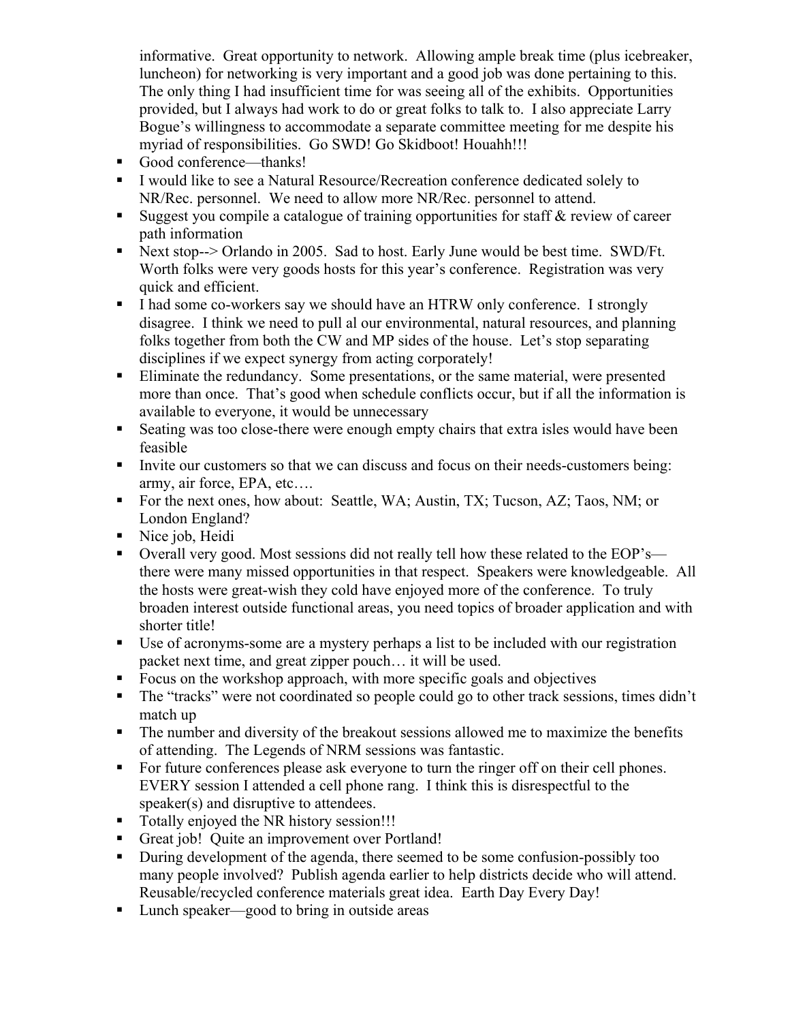informative. Great opportunity to network. Allowing ample break time (plus icebreaker, luncheon) for networking is very important and a good job was done pertaining to this. The only thing I had insufficient time for was seeing all of the exhibits. Opportunities provided, but I always had work to do or great folks to talk to. I also appreciate Larry Bogue's willingness to accommodate a separate committee meeting for me despite his myriad of responsibilities. Go SWD! Go Skidboot! Houahh!!!

- Good conference—thanks!
- I would like to see a Natural Resource/Recreation conference dedicated solely to NR/Rec. personnel. We need to allow more NR/Rec. personnel to attend.
- Suggest you compile a catalogue of training opportunities for staff  $\&$  review of career path information
- Next stop--> Orlando in 2005. Sad to host. Early June would be best time. SWD/Ft. Worth folks were very goods hosts for this year's conference. Registration was very quick and efficient.
- I had some co-workers say we should have an HTRW only conference. I strongly disagree. I think we need to pull al our environmental, natural resources, and planning folks together from both the CW and MP sides of the house. Let's stop separating disciplines if we expect synergy from acting corporately!
- Eliminate the redundancy. Some presentations, or the same material, were presented more than once. That's good when schedule conflicts occur, but if all the information is available to everyone, it would be unnecessary
- Seating was too close-there were enough empty chairs that extra isles would have been feasible
- Invite our customers so that we can discuss and focus on their needs-customers being: army, air force, EPA, etc….
- For the next ones, how about: Seattle, WA; Austin, TX; Tucson, AZ; Taos, NM; or London England?
- Nice job, Heidi
- Overall very good. Most sessions did not really tell how these related to the EOP's there were many missed opportunities in that respect. Speakers were knowledgeable. All the hosts were great-wish they cold have enjoyed more of the conference. To truly broaden interest outside functional areas, you need topics of broader application and with shorter title!
- Use of acronyms-some are a mystery perhaps a list to be included with our registration packet next time, and great zipper pouch… it will be used.
- Focus on the workshop approach, with more specific goals and objectives
- The "tracks" were not coordinated so people could go to other track sessions, times didn't match up
- The number and diversity of the breakout sessions allowed me to maximize the benefits of attending. The Legends of NRM sessions was fantastic.
- For future conferences please ask everyone to turn the ringer off on their cell phones. EVERY session I attended a cell phone rang. I think this is disrespectful to the speaker(s) and disruptive to attendees.
- Totally enjoyed the NR history session!!!
- Great job! Quite an improvement over Portland!
- During development of the agenda, there seemed to be some confusion-possibly too many people involved? Publish agenda earlier to help districts decide who will attend. Reusable/recycled conference materials great idea. Earth Day Every Day!
- Lunch speaker—good to bring in outside areas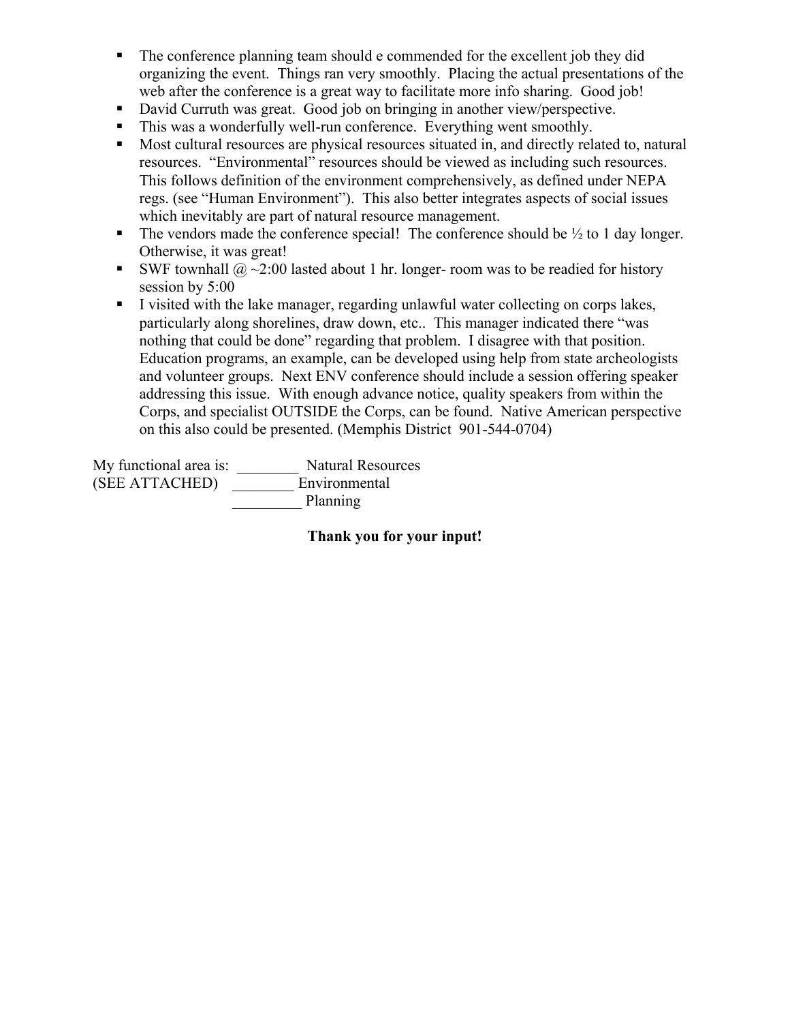- The conference planning team should e commended for the excellent job they did organizing the event. Things ran very smoothly. Placing the actual presentations of the web after the conference is a great way to facilitate more info sharing. Good job!
- David Curruth was great. Good job on bringing in another view/perspective.
- This was a wonderfully well-run conference. Everything went smoothly.
- Most cultural resources are physical resources situated in, and directly related to, natural resources. "Environmental" resources should be viewed as including such resources. This follows definition of the environment comprehensively, as defined under NEPA regs. (see "Human Environment"). This also better integrates aspects of social issues which inevitably are part of natural resource management.
- The vendors made the conference special! The conference should be  $\frac{1}{2}$  to 1 day longer. Otherwise, it was great!
- SWF townhall  $\omega \sim 2.00$  lasted about 1 hr. longer- room was to be readied for history session by 5:00
- I visited with the lake manager, regarding unlawful water collecting on corps lakes, particularly along shorelines, draw down, etc.. This manager indicated there "was nothing that could be done" regarding that problem. I disagree with that position. Education programs, an example, can be developed using help from state archeologists and volunteer groups. Next ENV conference should include a session offering speaker addressing this issue. With enough advance notice, quality speakers from within the Corps, and specialist OUTSIDE the Corps, can be found. Native American perspective on this also could be presented. (Memphis District 901-544-0704)

My functional area is: \_\_\_\_\_\_\_\_ Natural Resources (SEE ATTACHED) \_\_\_\_\_\_\_\_ Environmental \_\_\_\_\_\_\_\_\_ Planning

**Thank you for your input!**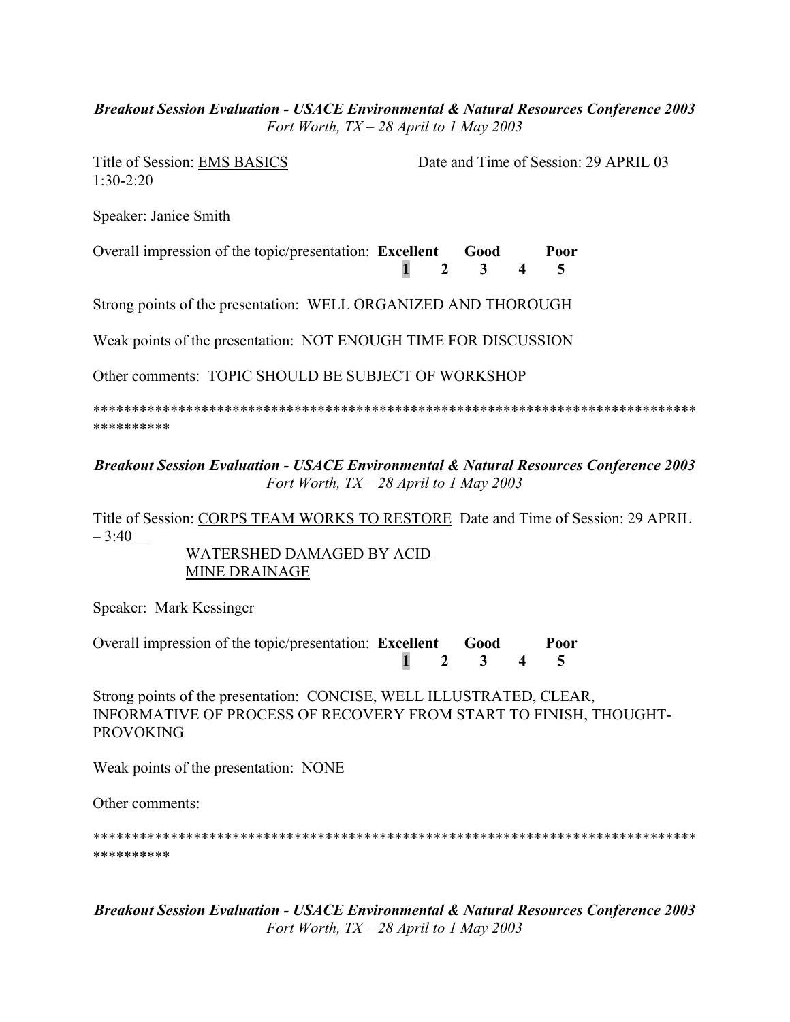#### *Breakout Session Evaluation - USACE Environmental & Natural Resources Conference 2003 Fort Worth, TX – 28 April to 1 May 2003*

1:30-2:20

Title of Session: EMS BASICS Date and Time of Session: 29 APRIL 03

Speaker: Janice Smith

Overall impression of the topic/presentation: **Excellent Good Poor 1 2 3 4 5** 

Strong points of the presentation: WELL ORGANIZED AND THOROUGH

Weak points of the presentation: NOT ENOUGH TIME FOR DISCUSSION

Other comments: TOPIC SHOULD BE SUBJECT OF WORKSHOP

\*\*\*\*\*\*\*\*\*\*\*\*\*\*\*\*\*\*\*\*\*\*\*\*\*\*\*\*\*\*\*\*\*\*\*\*\*\*\*\*\*\*\*\*\*\*\*\*\*\*\*\*\*\*\*\*\*\*\*\*\*\*\*\*\*\*\*\*\*\*\*\*\*\*\*\*\*\* \*\*\*\*\*\*\*\*\*\*

*Breakout Session Evaluation - USACE Environmental & Natural Resources Conference 2003 Fort Worth, TX – 28 April to 1 May 2003* 

Title of Session: CORPS TEAM WORKS TO RESTORE Date and Time of Session: 29 APRIL  $-3:40$ 

WATERSHED DAMAGED BY ACID MINE DRAINAGE

Speaker: Mark Kessinger

Overall impression of the topic/presentation: **Excellent Good Poor 1 2 3 4 5** 

Strong points of the presentation: CONCISE, WELL ILLUSTRATED, CLEAR, INFORMATIVE OF PROCESS OF RECOVERY FROM START TO FINISH, THOUGHT-PROVOKING

Weak points of the presentation: NONE

Other comments:

\*\*\*\*\*\*\*\*\*\*\*\*\*\*\*\*\*\*\*\*\*\*\*\*\*\*\*\*\*\*\*\*\*\*\*\*\*\*\*\*\*\*\*\*\*\*\*\*\*\*\*\*\*\*\*\*\*\*\*\*\*\*\*\*\*\*\*\*\*\*\*\*\*\*\*\*\*\* \*\*\*\*\*\*\*\*\*\*

*Breakout Session Evaluation - USACE Environmental & Natural Resources Conference 2003 Fort Worth, TX – 28 April to 1 May 2003*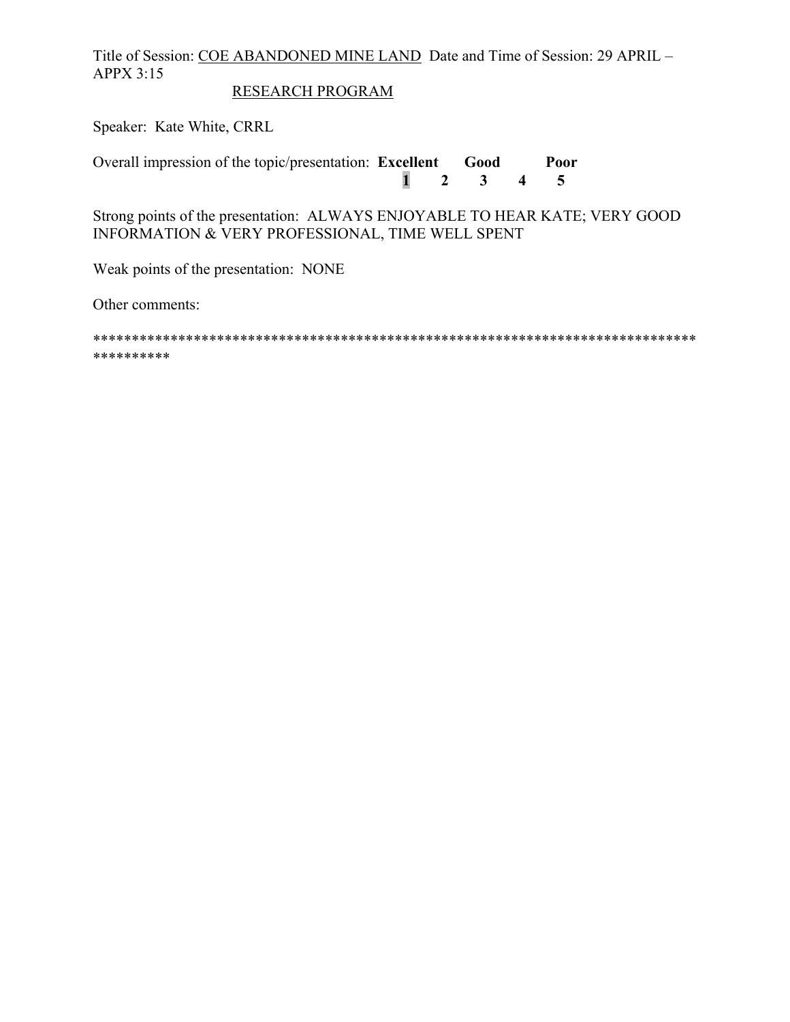Title of Session: COE ABANDONED MINE LAND Date and Time of Session: 29 APRIL – APPX 3:15

## RESEARCH PROGRAM

Speaker: Kate White, CRRL

Overall impression of the topic/presentation: **Excellent Good Poor 1 2 3 4 5** 

Strong points of the presentation: ALWAYS ENJOYABLE TO HEAR KATE; VERY GOOD INFORMATION & VERY PROFESSIONAL, TIME WELL SPENT

Weak points of the presentation: NONE

Other comments:

\*\*\*\*\*\*\*\*\*\*\*\*\*\*\*\*\*\*\*\*\*\*\*\*\*\*\*\*\*\*\*\*\*\*\*\*\*\*\*\*\*\*\*\*\*\*\*\*\*\*\*\*\*\*\*\*\*\*\*\*\*\*\*\*\*\*\*\*\*\*\*\*\*\*\*\*\*\* \*\*\*\*\*\*\*\*\*\*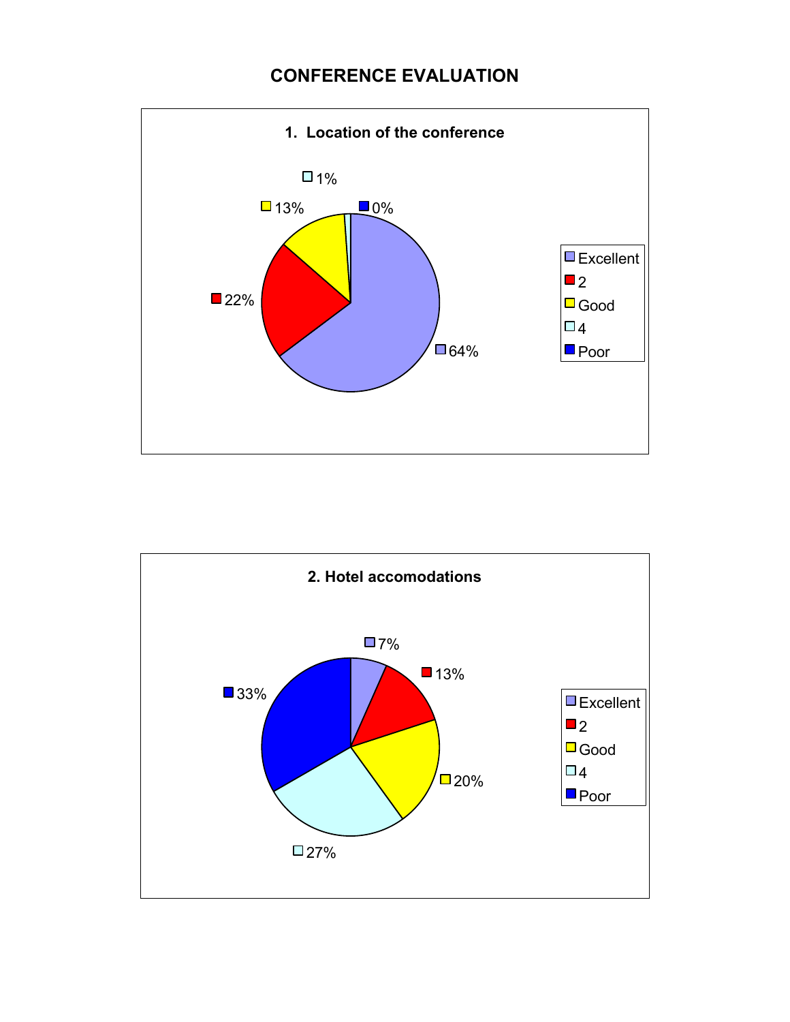# **CONFERENCE EVALUATION**



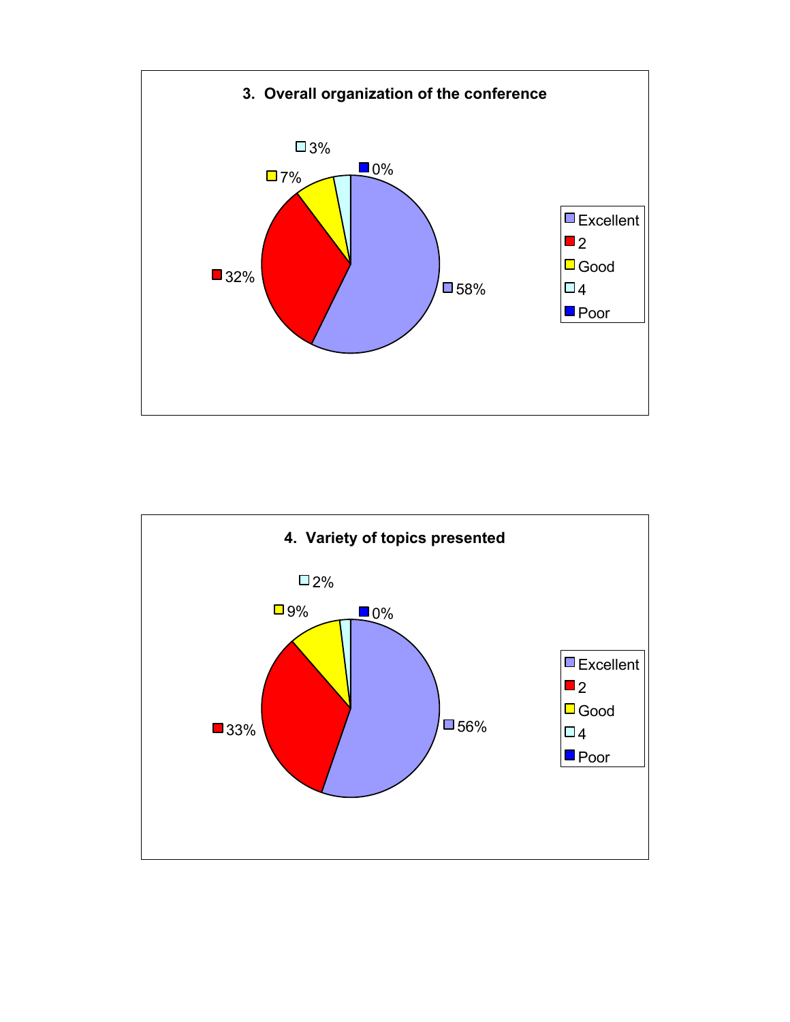

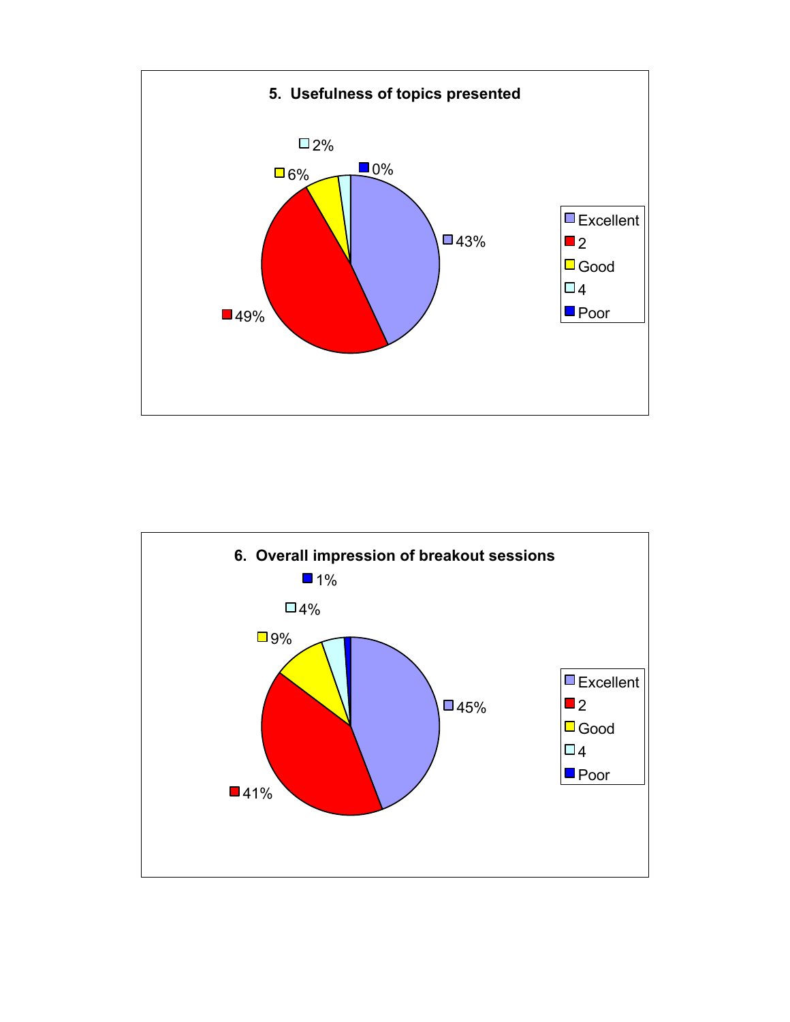

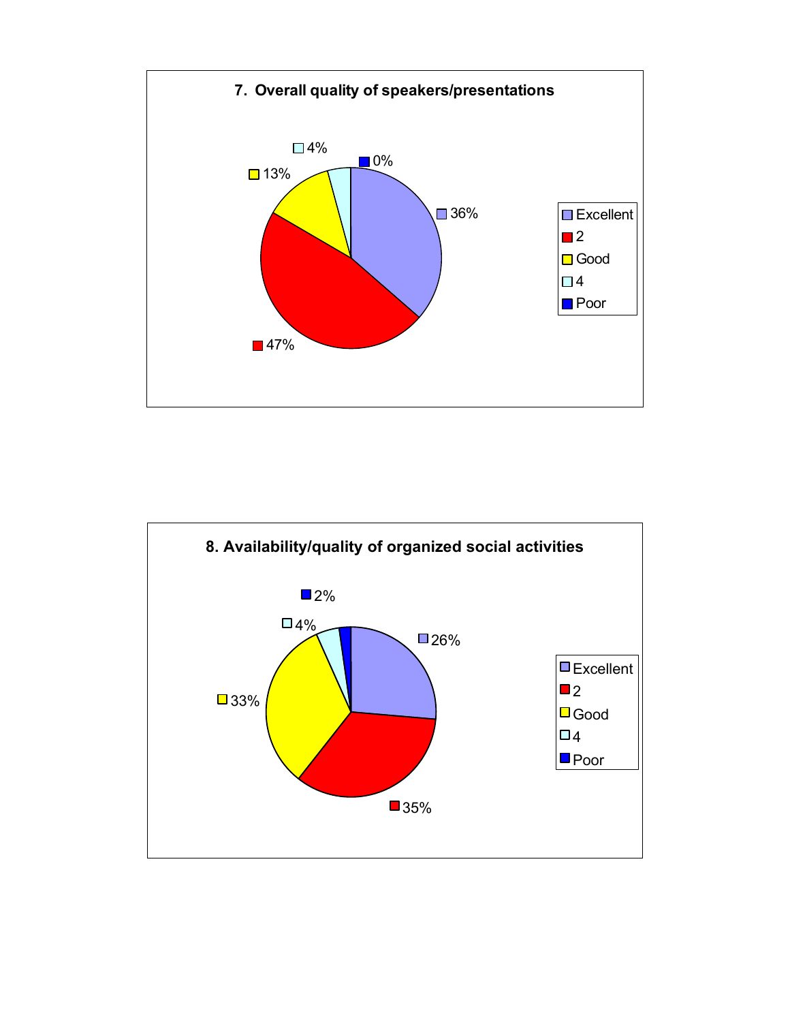

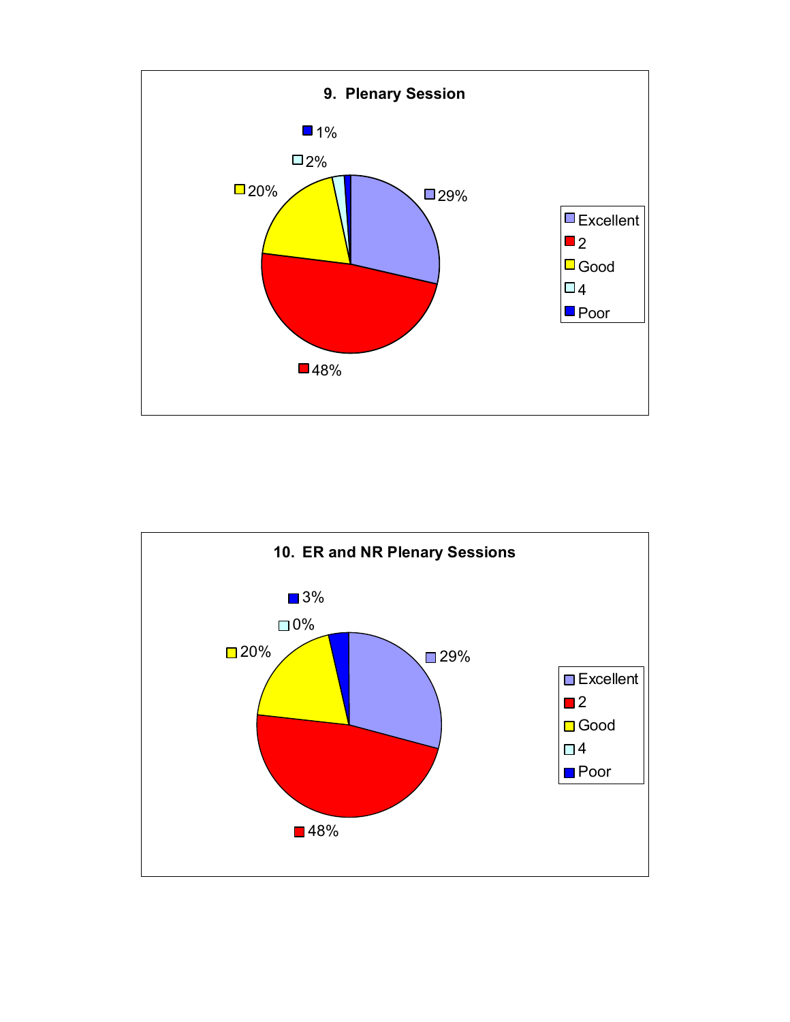